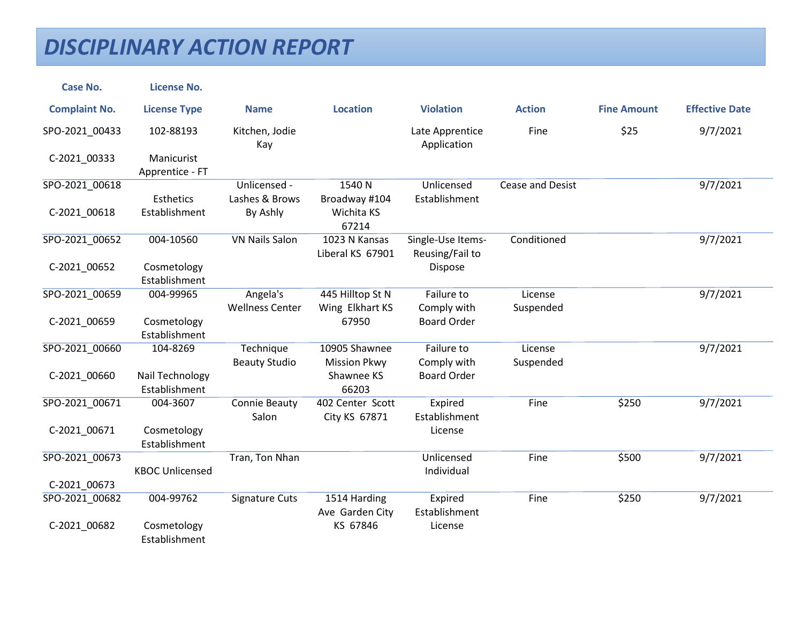| <b>Case No.</b>      | <b>License No.</b>               |                               |                                      |                                      |                         |                    |                       |
|----------------------|----------------------------------|-------------------------------|--------------------------------------|--------------------------------------|-------------------------|--------------------|-----------------------|
| <b>Complaint No.</b> | <b>License Type</b>              | <b>Name</b>                   | <b>Location</b>                      | <b>Violation</b>                     | <b>Action</b>           | <b>Fine Amount</b> | <b>Effective Date</b> |
| SPO-2021_00433       | 102-88193                        | Kitchen, Jodie<br>Kay         |                                      | Late Apprentice<br>Application       | Fine                    | \$25               | 9/7/2021              |
| C-2021_00333         | Manicurist<br>Apprentice - FT    |                               |                                      |                                      |                         |                    |                       |
| SPO-2021_00618       |                                  | Unlicensed -                  | 1540 N                               | Unlicensed                           | <b>Cease and Desist</b> |                    | 9/7/2021              |
| C-2021_00618         | Esthetics<br>Establishment       | Lashes & Brows<br>By Ashly    | Broadway #104<br>Wichita KS<br>67214 | Establishment                        |                         |                    |                       |
| SPO-2021 00652       | 004-10560                        | <b>VN Nails Salon</b>         | 1023 N Kansas<br>Liberal KS 67901    | Single-Use Items-<br>Reusing/Fail to | Conditioned             |                    | 9/7/2021              |
| C-2021_00652         | Cosmetology<br>Establishment     |                               |                                      | Dispose                              |                         |                    |                       |
| SPO-2021 00659       | 004-99965                        | Angela's                      | 445 Hilltop St N                     | Failure to                           | License                 |                    | 9/7/2021              |
| C-2021_00659         | Cosmetology<br>Establishment     | <b>Wellness Center</b>        | Wing Elkhart KS<br>67950             | Comply with<br><b>Board Order</b>    | Suspended               |                    |                       |
| SPO-2021 00660       | 104-8269                         | Technique                     | 10905 Shawnee                        | Failure to                           | License                 |                    | 9/7/2021              |
|                      |                                  | <b>Beauty Studio</b>          | <b>Mission Pkwy</b>                  | Comply with                          | Suspended               |                    |                       |
| C-2021 00660         | Nail Technology<br>Establishment |                               | Shawnee KS<br>66203                  | <b>Board Order</b>                   |                         |                    |                       |
| SPO-2021_00671       | 004-3607                         | <b>Connie Beauty</b><br>Salon | 402 Center Scott<br>City KS 67871    | Expired<br>Establishment             | Fine                    | \$250              | 9/7/2021              |
| C-2021_00671         | Cosmetology<br>Establishment     |                               |                                      | License                              |                         |                    |                       |
| SPO-2021_00673       |                                  | Tran, Ton Nhan                |                                      | Unlicensed                           | Fine                    | \$500              | 9/7/2021              |
|                      | <b>KBOC Unlicensed</b>           |                               |                                      | Individual                           |                         |                    |                       |
| C-2021 00673         |                                  |                               |                                      |                                      |                         |                    |                       |
| SPO-2021 00682       | 004-99762                        | Signature Cuts                | 1514 Harding<br>Ave Garden City      | Expired<br>Establishment             | Fine                    | \$250              | 9/7/2021              |
| C-2021_00682         | Cosmetology<br>Establishment     |                               | KS 67846                             | License                              |                         |                    |                       |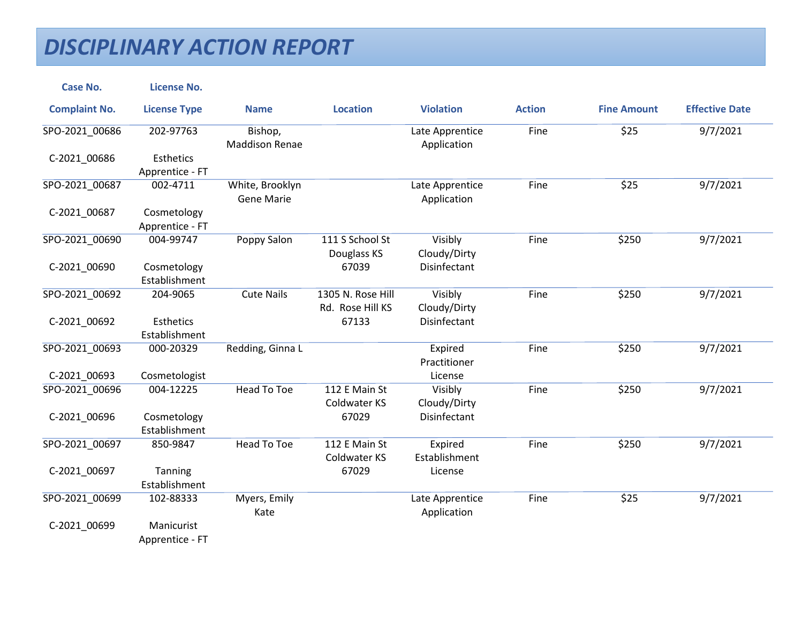| <b>Case No.</b>      | <b>License No.</b>             |                                  |                                       |                                |               |                    |                       |
|----------------------|--------------------------------|----------------------------------|---------------------------------------|--------------------------------|---------------|--------------------|-----------------------|
| <b>Complaint No.</b> | <b>License Type</b>            | <b>Name</b>                      | <b>Location</b>                       | <b>Violation</b>               | <b>Action</b> | <b>Fine Amount</b> | <b>Effective Date</b> |
| SPO-2021_00686       | 202-97763                      | Bishop,<br><b>Maddison Renae</b> |                                       | Late Apprentice<br>Application | Fine          | \$25               | 9/7/2021              |
| C-2021_00686         | Esthetics<br>Apprentice - FT   |                                  |                                       |                                |               |                    |                       |
| SPO-2021_00687       | 002-4711                       | White, Brooklyn<br>Gene Marie    |                                       | Late Apprentice<br>Application | Fine          | \$25               | 9/7/2021              |
| C-2021_00687         | Cosmetology<br>Apprentice - FT |                                  |                                       |                                |               |                    |                       |
| SPO-2021 00690       | 004-99747                      | Poppy Salon                      | 111 S School St<br>Douglass KS        | Visibly<br>Cloudy/Dirty        | Fine          | \$250              | 9/7/2021              |
| C-2021_00690         | Cosmetology<br>Establishment   |                                  | 67039                                 | Disinfectant                   |               |                    |                       |
| SPO-2021_00692       | 204-9065                       | <b>Cute Nails</b>                | 1305 N. Rose Hill<br>Rd. Rose Hill KS | Visibly<br>Cloudy/Dirty        | Fine          | \$250              | 9/7/2021              |
| C-2021_00692         | Esthetics<br>Establishment     |                                  | 67133                                 | Disinfectant                   |               |                    |                       |
| SPO-2021 00693       | 000-20329                      | Redding, Ginna L                 |                                       | Expired<br>Practitioner        | Fine          | \$250              | 9/7/2021              |
| C-2021 00693         | Cosmetologist                  |                                  |                                       | License                        |               |                    |                       |
| SPO-2021_00696       | 004-12225                      | <b>Head To Toe</b>               | 112 E Main St<br><b>Coldwater KS</b>  | Visibly<br>Cloudy/Dirty        | Fine          | \$250              | 9/7/2021              |
| C-2021_00696         | Cosmetology<br>Establishment   |                                  | 67029                                 | Disinfectant                   |               |                    |                       |
| SPO-2021 00697       | 850-9847                       | Head To Toe                      | 112 E Main St<br><b>Coldwater KS</b>  | Expired<br>Establishment       | Fine          | \$250              | 9/7/2021              |
| C-2021_00697         | Tanning<br>Establishment       |                                  | 67029                                 | License                        |               |                    |                       |
| SPO-2021_00699       | 102-88333                      | Myers, Emily<br>Kate             |                                       | Late Apprentice<br>Application | Fine          | \$25               | 9/7/2021              |
| C-2021_00699         | Manicurist<br>Apprentice - FT  |                                  |                                       |                                |               |                    |                       |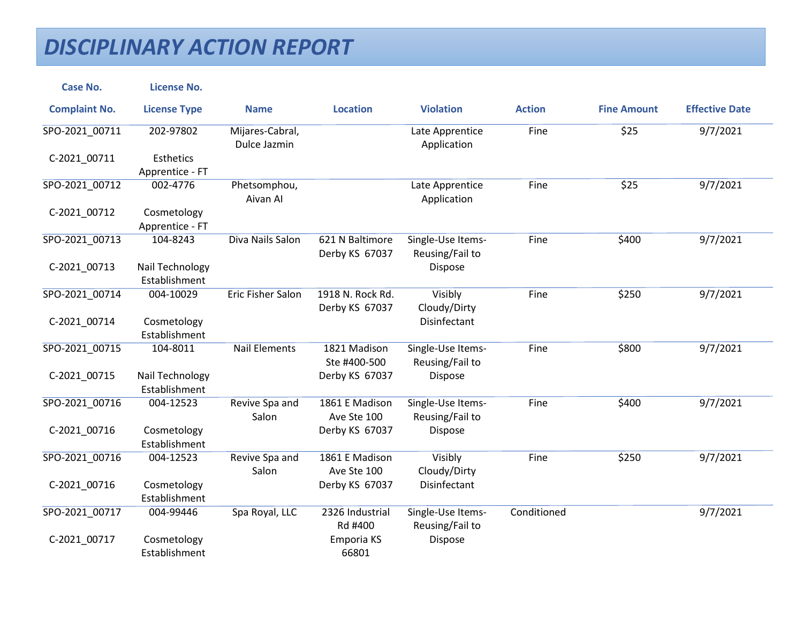| <b>Case No.</b>      | <b>License No.</b>               |                                 |                                    |                                      |               |                    |                       |
|----------------------|----------------------------------|---------------------------------|------------------------------------|--------------------------------------|---------------|--------------------|-----------------------|
| <b>Complaint No.</b> | <b>License Type</b>              | <b>Name</b>                     | <b>Location</b>                    | <b>Violation</b>                     | <b>Action</b> | <b>Fine Amount</b> | <b>Effective Date</b> |
| SPO-2021_00711       | 202-97802                        | Mijares-Cabral,<br>Dulce Jazmin |                                    | Late Apprentice<br>Application       | Fine          | \$25               | 9/7/2021              |
| C-2021 00711         | Esthetics                        |                                 |                                    |                                      |               |                    |                       |
|                      | Apprentice - FT                  |                                 |                                    |                                      |               |                    |                       |
| SPO-2021_00712       | 002-4776                         | Phetsomphou,<br>Aivan Al        |                                    | Late Apprentice<br>Application       | Fine          | \$25               | 9/7/2021              |
| C-2021_00712         | Cosmetology<br>Apprentice - FT   |                                 |                                    |                                      |               |                    |                       |
| SPO-2021_00713       | 104-8243                         | Diva Nails Salon                | 621 N Baltimore<br>Derby KS 67037  | Single-Use Items-<br>Reusing/Fail to | Fine          | \$400              | 9/7/2021              |
| C-2021_00713         | Nail Technology<br>Establishment |                                 |                                    | Dispose                              |               |                    |                       |
| SPO-2021 00714       | 004-10029                        | <b>Eric Fisher Salon</b>        | 1918 N. Rock Rd.<br>Derby KS 67037 | Visibly<br>Cloudy/Dirty              | Fine          | \$250              | 9/7/2021              |
| C-2021_00714         | Cosmetology<br>Establishment     |                                 |                                    | <b>Disinfectant</b>                  |               |                    |                       |
| SPO-2021_00715       | 104-8011                         | <b>Nail Elements</b>            | 1821 Madison<br>Ste #400-500       | Single-Use Items-<br>Reusing/Fail to | Fine          | \$800              | 9/7/2021              |
| C-2021_00715         | Nail Technology<br>Establishment |                                 | Derby KS 67037                     | Dispose                              |               |                    |                       |
| SPO-2021 00716       | 004-12523                        | Revive Spa and<br>Salon         | 1861 E Madison<br>Ave Ste 100      | Single-Use Items-<br>Reusing/Fail to | Fine          | \$400              | 9/7/2021              |
| C-2021_00716         | Cosmetology<br>Establishment     |                                 | Derby KS 67037                     | Dispose                              |               |                    |                       |
| SPO-2021 00716       | 004-12523                        | Revive Spa and<br>Salon         | 1861 E Madison<br>Ave Ste 100      | Visibly<br>Cloudy/Dirty              | Fine          | \$250              | 9/7/2021              |
| C-2021_00716         | Cosmetology<br>Establishment     |                                 | Derby KS 67037                     | <b>Disinfectant</b>                  |               |                    |                       |
| SPO-2021 00717       | 004-99446                        | Spa Royal, LLC                  | 2326 Industrial<br>Rd #400         | Single-Use Items-<br>Reusing/Fail to | Conditioned   |                    | 9/7/2021              |
| C-2021_00717         | Cosmetology<br>Establishment     |                                 | Emporia KS<br>66801                | Dispose                              |               |                    |                       |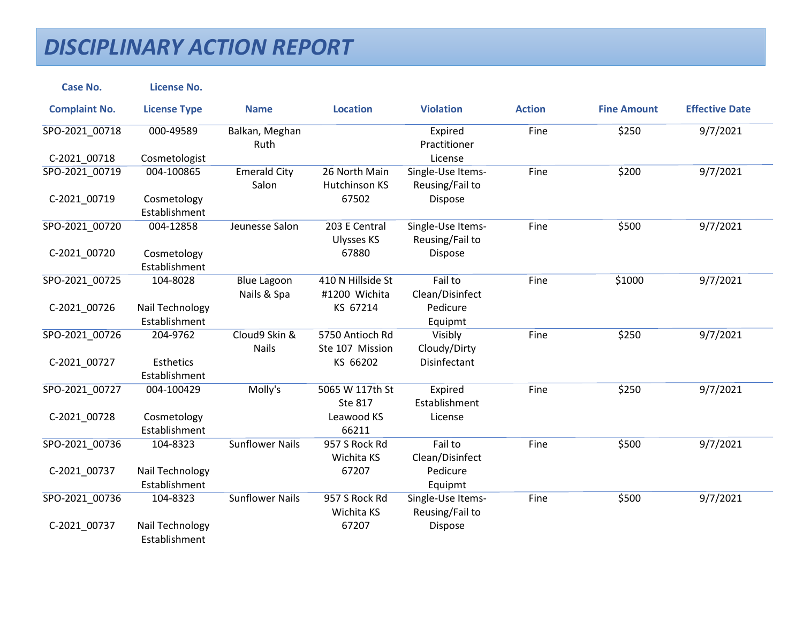| <b>Case No.</b>      | <b>License No.</b>                |                                   |                                    |                                      |               |                    |                       |
|----------------------|-----------------------------------|-----------------------------------|------------------------------------|--------------------------------------|---------------|--------------------|-----------------------|
| <b>Complaint No.</b> | <b>License Type</b>               | <b>Name</b>                       | <b>Location</b>                    | <b>Violation</b>                     | <b>Action</b> | <b>Fine Amount</b> | <b>Effective Date</b> |
| SPO-2021_00718       | 000-49589                         | Balkan, Meghan<br>Ruth            |                                    | Expired<br>Practitioner              | Fine          | \$250              | 9/7/2021              |
| C-2021 00718         | Cosmetologist                     |                                   |                                    | License                              |               |                    |                       |
| SPO-2021 00719       | 004-100865                        | <b>Emerald City</b><br>Salon      | 26 North Main<br>Hutchinson KS     | Single-Use Items-<br>Reusing/Fail to | Fine          | \$200              | 9/7/2021              |
| C-2021_00719         | Cosmetology<br>Establishment      |                                   | 67502                              | Dispose                              |               |                    |                       |
| SPO-2021 00720       | 004-12858                         | Jeunesse Salon                    | 203 E Central<br><b>Ulysses KS</b> | Single-Use Items-<br>Reusing/Fail to | Fine          | \$500              | 9/7/2021              |
| C-2021 00720         | Cosmetology<br>Establishment      |                                   | 67880                              | Dispose                              |               |                    |                       |
| SPO-2021_00725       | 104-8028                          | <b>Blue Lagoon</b><br>Nails & Spa | 410 N Hillside St<br>#1200 Wichita | Fail to<br>Clean/Disinfect           | Fine          | \$1000             | 9/7/2021              |
| C-2021_00726         | Nail Technology<br>Establishment  |                                   | KS 67214                           | Pedicure<br>Equipmt                  |               |                    |                       |
| SPO-2021 00726       | 204-9762                          | Cloud9 Skin &<br><b>Nails</b>     | 5750 Antioch Rd<br>Ste 107 Mission | Visibly<br>Cloudy/Dirty              | Fine          | \$250              | 9/7/2021              |
| C-2021 00727         | <b>Esthetics</b><br>Establishment |                                   | KS 66202                           | Disinfectant                         |               |                    |                       |
| SPO-2021_00727       | 004-100429                        | Molly's                           | 5065 W 117th St<br><b>Ste 817</b>  | Expired<br>Establishment             | Fine          | \$250              | 9/7/2021              |
| C-2021_00728         | Cosmetology<br>Establishment      |                                   | Leawood KS<br>66211                | License                              |               |                    |                       |
| SPO-2021 00736       | 104-8323                          | <b>Sunflower Nails</b>            | 957 S Rock Rd<br>Wichita KS        | Fail to<br>Clean/Disinfect           | Fine          | \$500              | 9/7/2021              |
| C-2021_00737         | Nail Technology<br>Establishment  |                                   | 67207                              | Pedicure<br>Equipmt                  |               |                    |                       |
| SPO-2021_00736       | 104-8323                          | <b>Sunflower Nails</b>            | 957 S Rock Rd<br>Wichita KS        | Single-Use Items-<br>Reusing/Fail to | Fine          | \$500              | 9/7/2021              |
| C-2021_00737         | Nail Technology<br>Establishment  |                                   | 67207                              | Dispose                              |               |                    |                       |